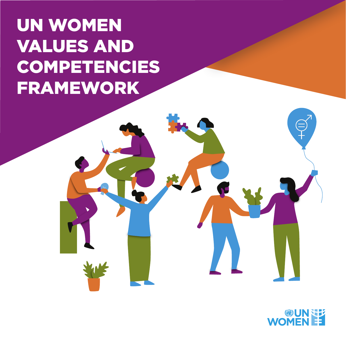# UN WOMEN VALUES AND COMPETENCIES FRAMEWORK



 $\equiv$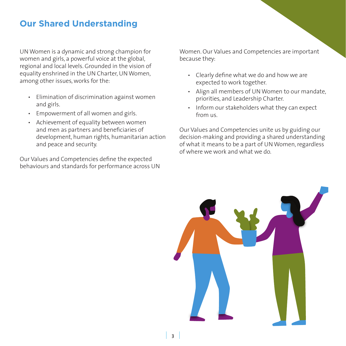# **Our Shared Understanding**

UN Women is a dynamic and strong champion for women and girls, a powerful voice at the global, regional and local levels. Grounded in the vision of equality enshrined in the UN Charter, UN Women, among other issues, works for the:

- Elimination of discrimination against women and girls.
- Empowerment of all women and girls.
- Achievement of equality between women and men as partners and beneficiaries of development, human rights, humanitarian action and peace and security.

Our Values and Competencies define the expected behaviours and standards for performance across UN Women. Our Values and Competencies are important because they:

- Clearly define what we do and how we are expected to work together.
- Align all members of UN Women to our mandate, priorities, and Leadership Charter.
- Inform our stakeholders what they can expect from us.

Our Values and Competencies unite us by guiding our decision-making and providing a shared understanding of what it means to be a part of UN Women, regardless of where we work and what we do.

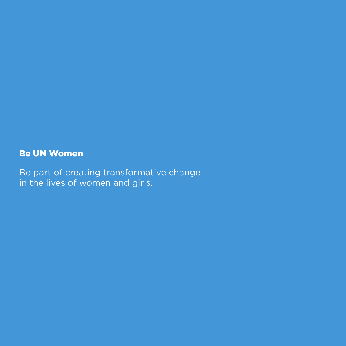## Be UN Women

Be part of creating transformative change in the lives of women and girls.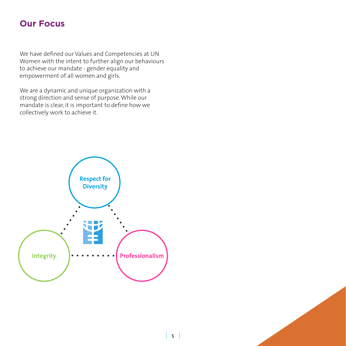# **Our Focus**

We have defined our Values and Competencies at UN Women with the intent to further align our behaviours to achieve our mandate - gender equality and empowerment of all women and girls.

We are a dynamic and unique organization with a strong direction and sense of purpose. While our mandate is clear, it is important to define how we collectively work to achieve it.

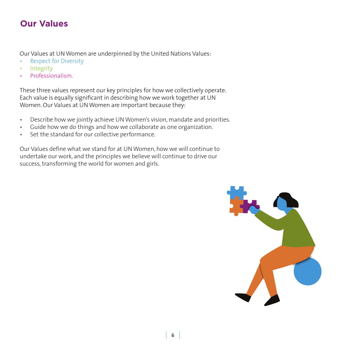# **Our Values**

Our Values at UN Women are underpinned by the United Nations Values:

- Respect for Diversity
- **Integrity**
- Professionalism.

These three values represent our key principles for how we collectively operate. Each value is equally significant in describing how we work together at UN Women. Our Values at UN Women are important because they:

- Describe how we jointly achieve UN Women's vision, mandate and priorities.
- Guide how we do things and how we collaborate as one organization.
- Set the standard for our collective performance.

Our Values define what we stand for at UN Women, how we will continue to undertake our work, and the principles we believe will continue to drive our success, transforming the world for women and girls.

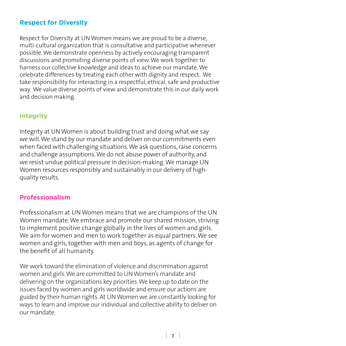### **Respect for Diversity**

Respect for Diversity at UN Women means we are proud to be a diverse, multi-cultural organization that is consultative and participative whenever possible. We demonstrate openness by actively encouraging transparent discussions and promoting diverse points of view. We work together to harness our collective knowledge and ideas to achieve our mandate. We celebrate differences by treating each other with dignity and respect. We take responsibility for interacting in a respectful, ethical, safe and productive way. We value diverse points of view and demonstrate this in our daily work and decision making.

#### **Integrity**

Integrity at UN Women is about building trust and doing what we say we will. We stand by our mandate and deliver on our commitments even when faced with challenging situations. We ask questions, raise concerns and challenge assumptions. We do not abuse power of authority, and we resist undue political pressure in decision-making. We manage UN Women resources responsibly and sustainably in our delivery of highquality results.

#### **Professionalism**

Professionalism at UN Women means that we are champions of the UN Women mandate. We embrace and promote our shared mission, striving to implement positive change globally in the lives of women and girls. We aim for women and men to work together as equal partners. We see women and girls, together with men and boys, as agents of change for the benefit of all humanity.

We work toward the elimination of violence and discrimination against women and girls. We are committed to UN Women's mandate and delivering on the organizations key priorities. We keep up to date on the issues faced by women and girls worldwide and ensure our actions are guided by their human rights. At UN Women we are constantly looking for ways to learn and improve our individual and collective ability to deliver on our mandate.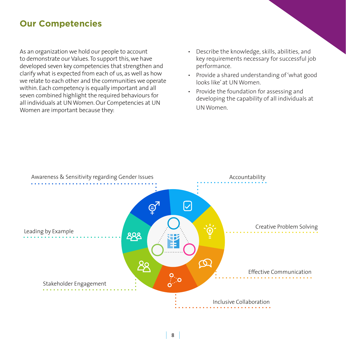# **Our Competencies**

As an organization we hold our people to account to demonstrate our Values. To support this, we have developed seven key competencies that strengthen and clarify what is expected from each of us, as well as how we relate to each other and the communities we operate within. Each competency is equally important and all seven combined highlight the required behaviours for all individuals at UN Women. Our Competencies at UN Women are important because they:

- Describe the knowledge, skills, abilities, and key requirements necessary for successful job performance.
- Provide a shared understanding of 'what good looks like' at UN Women.
- Provide the foundation for assessing and developing the capability of all individuals at UN Women.

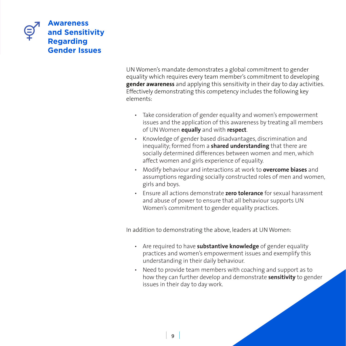

UN Women's mandate demonstrates a global commitment to gender equality which requires every team member's commitment to developing **gender awareness** and applying this sensitivity in their day to day activities. Effectively demonstrating this competency includes the following key elements:

- Take consideration of gender equality and women's empowerment issues and the application of this awareness by treating all members of UN Women **equally** and with **respect**.
- Knowledge of gender based disadvantages, discrimination and inequality; formed from a **shared understanding** that there are socially determined differences between women and men, which affect women and girls experience of equality.
- Modify behaviour and interactions at work to **overcome biases** and assumptions regarding socially constructed roles of men and women, girls and boys.
- Ensure all actions demonstrate **zero tolerance** for sexual harassment and abuse of power to ensure that all behaviour supports UN Women's commitment to gender equality practices.

In addition to demonstrating the above, leaders at UN Women:

- Are required to have **substantive knowledge** of gender equality practices and women's empowerment issues and exemplify this understanding in their daily behaviour.
- Need to provide team members with coaching and support as to how they can further develop and demonstrate **sensitivity** to gender issues in their day to day work.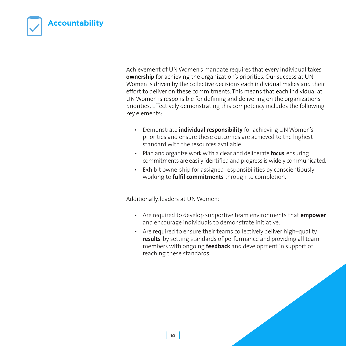

Achievement of UN Women's mandate requires that every individual takes **ownership** for achieving the organization's priorities. Our success at UN Women is driven by the collective decisions each individual makes and their effort to deliver on these commitments. This means that each individual at UN Women is responsible for defining and delivering on the organizations priorities. Effectively demonstrating this competency includes the following key elements:

- Demonstrate **individual responsibility** for achieving UN Women's priorities and ensure these outcomes are achieved to the highest standard with the resources available.
- Plan and organize work with a clear and deliberate **focus**, ensuring commitments are easily identified and progress is widely communicated.
- Exhibit ownership for assigned responsibilities by conscientiously working to **fulfil commitments** through to completion.

Additionally, leaders at UN Women:

- Are required to develop supportive team environments that **empower**  and encourage individuals to demonstrate initiative.
- Are required to ensure their teams collectively deliver high–quality **results**, by setting standards of performance and providing all team members with ongoing **feedback** and development in support of reaching these standards.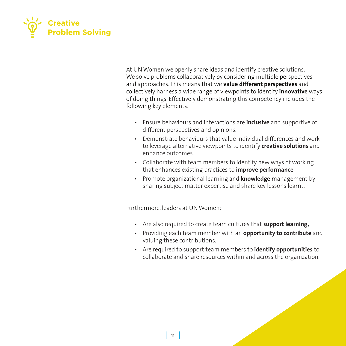

At UN Women we openly share ideas and identify creative solutions. We solve problems collaboratively by considering multiple perspectives and approaches. This means that we **value different perspectives** and collectively harness a wide range of viewpoints to identify **innovative** ways of doing things. Effectively demonstrating this competency includes the following key elements:

- Ensure behaviours and interactions are **inclusive** and supportive of different perspectives and opinions.
- Demonstrate behaviours that value individual differences and work to leverage alternative viewpoints to identify **creative solutions** and enhance outcomes.
- Collaborate with team members to identify new ways of working that enhances existing practices to **improve performance**.
- Promote organizational learning and **knowledge** management by sharing subject matter expertise and share key lessons learnt.

Furthermore, leaders at UN Women:

- Are also required to create team cultures that **support learning,**
- Providing each team member with an **opportunity to contribute** and valuing these contributions.
- Are required to support team members to **identify opportunities** to collaborate and share resources within and across the organization.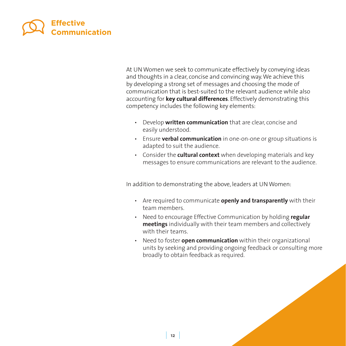

At UN Women we seek to communicate effectively by conveying ideas and thoughts in a clear, concise and convincing way. We achieve this by developing a strong set of messages and choosing the mode of communication that is best-suited to the relevant audience while also accounting for **key cultural differences**. Effectively demonstrating this competency includes the following key elements:

- Develop **written communication** that are clear, concise and easily understood.
- Ensure **verbal communication** in one-on-one or group situations is adapted to suit the audience.
- Consider the **cultural context** when developing materials and key messages to ensure communications are relevant to the audience.

In addition to demonstrating the above, leaders at UN Women:

- Are required to communicate **openly and transparently** with their team members.
- Need to encourage Effective Communication by holding **regular meetings** individually with their team members and collectively with their teams.
- Need to foster **open communication** within their organizational units by seeking and providing ongoing feedback or consulting more broadly to obtain feedback as required.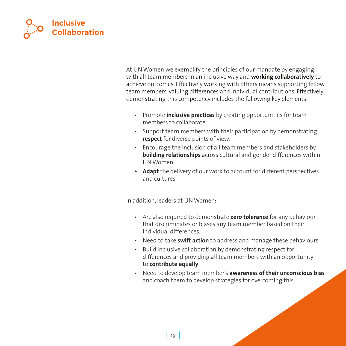

At UN Women we exemplify the principles of our mandate by engaging with all team members in an inclusive way and **working collaboratively** to achieve outcomes. Effectively working with others means supporting fellow team members, valuing differences and individual contributions. Effectively demonstrating this competency includes the following key elements:

- Promote **inclusive practices** by creating opportunities for team members to collaborate.
- Support team members with their participation by demonstrating **respect** for diverse points of view.
- Encourage the inclusion of all team members and stakeholders by **building relationships** across cultural and gender differences within UN Women.
- **• Adapt** the delivery of our work to account for different perspectives and cultures.

In addition, leaders at UN Women:

- Are also required to demonstrate **zero tolerance** for any behaviour that discriminates or biases any team member based on their individual differences.
- Need to take **swift action** to address and manage these behaviours.
- Build inclusive collaboration by demonstrating respect for differences and providing all team members with an opportunity to **contribute equally**.
- Need to develop team member's **awareness of their unconscious bias** and coach them to develop strategies for overcoming this.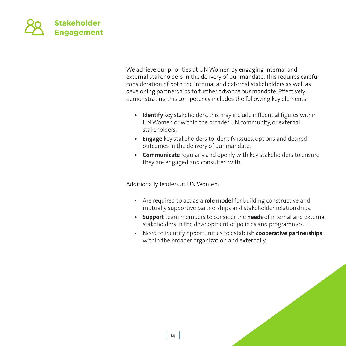

We achieve our priorities at UN Women by engaging internal and external stakeholders in the delivery of our mandate. This requires careful consideration of both the internal and external stakeholders as well as developing partnerships to further advance our mandate. Effectively demonstrating this competency includes the following key elements:

- **• Identify** key stakeholders, this may include influential figures within UN Women or within the broader UN community, or external stakeholders.
- **• Engage** key stakeholders to identify issues, options and desired outcomes in the delivery of our mandate.
- **• Communicate** regularly and openly with key stakeholders to ensure they are engaged and consulted with.

Additionally, leaders at UN Women:

- Are required to act as a **role model** for building constructive and mutually supportive partnerships and stakeholder relationships.
- **• Support** team members to consider the **needs** of internal and external stakeholders in the development of policies and programmes.
- Need to identify opportunities to establish **cooperative partnerships** within the broader organization and externally.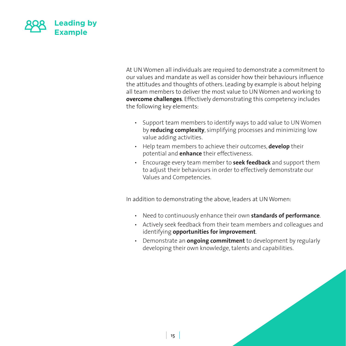

At UN Women all individuals are required to demonstrate a commitment to our values and mandate as well as consider how their behaviours influence the attitudes and thoughts of others. Leading by example is about helping all team members to deliver the most value to UN Women and working to **overcome challenges**. Effectively demonstrating this competency includes the following key elements:

- Support team members to identify ways to add value to UN Women by **reducing complexity**, simplifying processes and minimizing low value adding activities.
- Help team members to achieve their outcomes, **develop** their potential and **enhance** their effectiveness.
- Encourage every team member to **seek feedback** and support them to adjust their behaviours in order to effectively demonstrate our Values and Competencies.

In addition to demonstrating the above, leaders at UN Women:

- Need to continuously enhance their own **standards of performance**.
- Actively seek feedback from their team members and colleagues and identifying **opportunities for improvement**.
- Demonstrate an **ongoing commitment** to development by regularly developing their own knowledge, talents and capabilities.